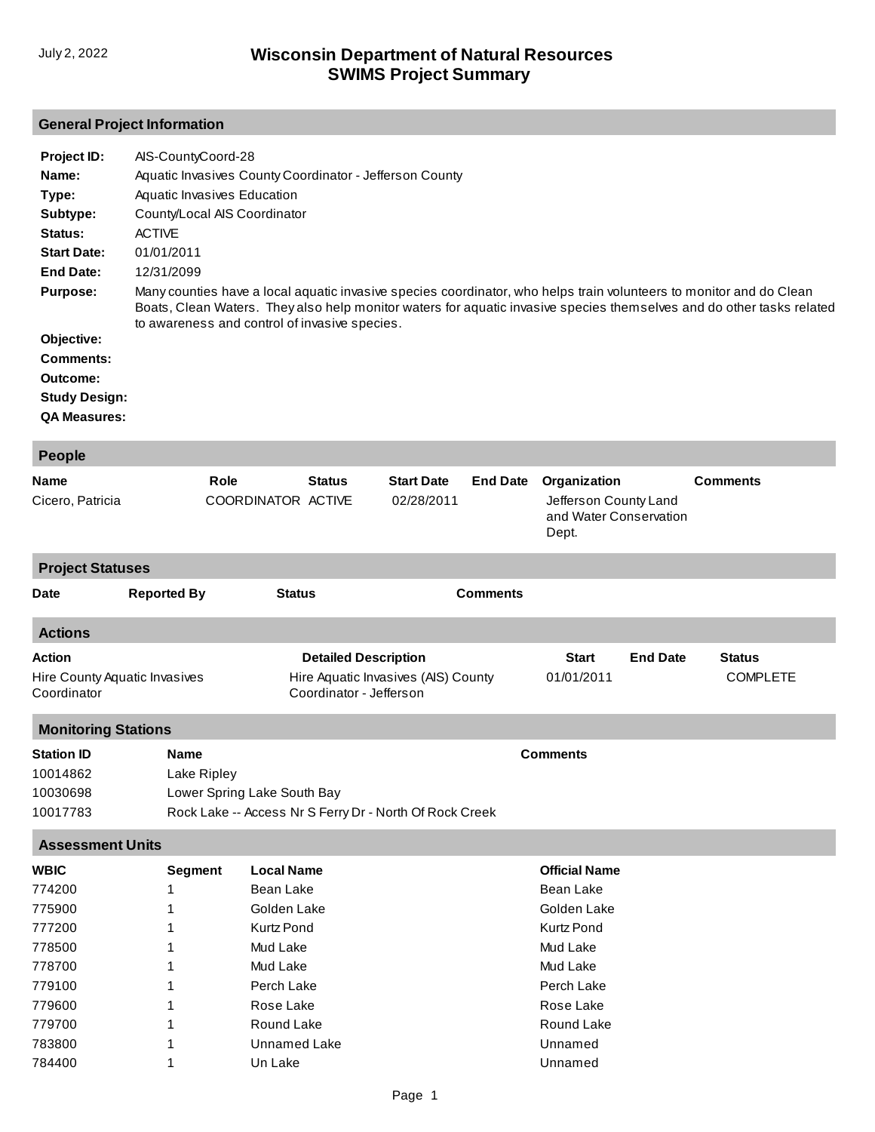## **General Project Information**

| Project ID:          | AIS-CountyCoord-28                                                                                                                                                                                                                                                                            |
|----------------------|-----------------------------------------------------------------------------------------------------------------------------------------------------------------------------------------------------------------------------------------------------------------------------------------------|
| Name:                | Aquatic Invasives County Coordinator - Jefferson County                                                                                                                                                                                                                                       |
| Type:                | Aquatic Invasives Education                                                                                                                                                                                                                                                                   |
| Subtype:             | County/Local AIS Coordinator                                                                                                                                                                                                                                                                  |
| Status:              | <b>ACTIVE</b>                                                                                                                                                                                                                                                                                 |
| <b>Start Date:</b>   | 01/01/2011                                                                                                                                                                                                                                                                                    |
| End Date:            | 12/31/2099                                                                                                                                                                                                                                                                                    |
| <b>Purpose:</b>      | Many counties have a local aguatic invasive species coordinator, who helps train volunteers to monitor and do Clean<br>Boats, Clean Waters. They also help monitor waters for aquatic invasive species themselves and do other tasks related<br>to awareness and control of invasive species. |
| Objective:           |                                                                                                                                                                                                                                                                                               |
| Comments:            |                                                                                                                                                                                                                                                                                               |
| Outcome:             |                                                                                                                                                                                                                                                                                               |
| <b>Study Design:</b> |                                                                                                                                                                                                                                                                                               |
| <b>QA Measures:</b>  |                                                                                                                                                                                                                                                                                               |

| <b>People</b>                                                                                                                                           |                                                                                                                                                                                                |                                                                                               |                                 |                 |                                                                                                                                                                     |                 |                                  |  |
|---------------------------------------------------------------------------------------------------------------------------------------------------------|------------------------------------------------------------------------------------------------------------------------------------------------------------------------------------------------|-----------------------------------------------------------------------------------------------|---------------------------------|-----------------|---------------------------------------------------------------------------------------------------------------------------------------------------------------------|-----------------|----------------------------------|--|
| <b>Name</b><br>Cicero, Patricia                                                                                                                         | Role<br>COORDINATOR ACTIVE                                                                                                                                                                     | <b>Status</b>                                                                                 | <b>Start Date</b><br>02/28/2011 | <b>End Date</b> | Organization<br>Jefferson County Land<br>and Water Conservation<br>Dept.                                                                                            |                 | <b>Comments</b>                  |  |
| <b>Project Statuses</b>                                                                                                                                 |                                                                                                                                                                                                |                                                                                               |                                 |                 |                                                                                                                                                                     |                 |                                  |  |
| <b>Reported By</b><br><b>Date</b>                                                                                                                       | <b>Status</b>                                                                                                                                                                                  |                                                                                               |                                 | <b>Comments</b> |                                                                                                                                                                     |                 |                                  |  |
| <b>Actions</b>                                                                                                                                          |                                                                                                                                                                                                |                                                                                               |                                 |                 |                                                                                                                                                                     |                 |                                  |  |
| <b>Action</b><br>Hire County Aquatic Invasives<br>Coordinator                                                                                           |                                                                                                                                                                                                | <b>Detailed Description</b><br>Hire Aquatic Invasives (AIS) County<br>Coordinator - Jefferson |                                 |                 | <b>Start</b><br>01/01/2011                                                                                                                                          | <b>End Date</b> | <b>Status</b><br><b>COMPLETE</b> |  |
| <b>Monitoring Stations</b>                                                                                                                              |                                                                                                                                                                                                |                                                                                               |                                 |                 |                                                                                                                                                                     |                 |                                  |  |
| <b>Station ID</b><br>10014862<br>10030698<br>10017783                                                                                                   | <b>Name</b><br>Lake Ripley<br>Lower Spring Lake South Bay<br>Rock Lake -- Access Nr S Ferry Dr - North Of Rock Creek                                                                           |                                                                                               |                                 |                 | <b>Comments</b>                                                                                                                                                     |                 |                                  |  |
| <b>Assessment Units</b>                                                                                                                                 |                                                                                                                                                                                                |                                                                                               |                                 |                 |                                                                                                                                                                     |                 |                                  |  |
| <b>WBIC</b><br>774200<br>1<br>775900<br>1<br>777200<br>778500<br>1<br>778700<br>1<br>779100<br>1<br>779600<br>1<br>779700<br>1<br>783800<br>1<br>784400 | <b>Local Name</b><br><b>Segment</b><br><b>Bean Lake</b><br>Golden Lake<br><b>Kurtz Pond</b><br>Mud Lake<br>Mud Lake<br>Perch Lake<br>Rose Lake<br>Round Lake<br><b>Unnamed Lake</b><br>Un Lake |                                                                                               |                                 |                 | <b>Official Name</b><br><b>Bean Lake</b><br>Golden Lake<br><b>Kurtz Pond</b><br>Mud Lake<br>Mud Lake<br>Perch Lake<br>Rose Lake<br>Round Lake<br>Unnamed<br>Unnamed |                 |                                  |  |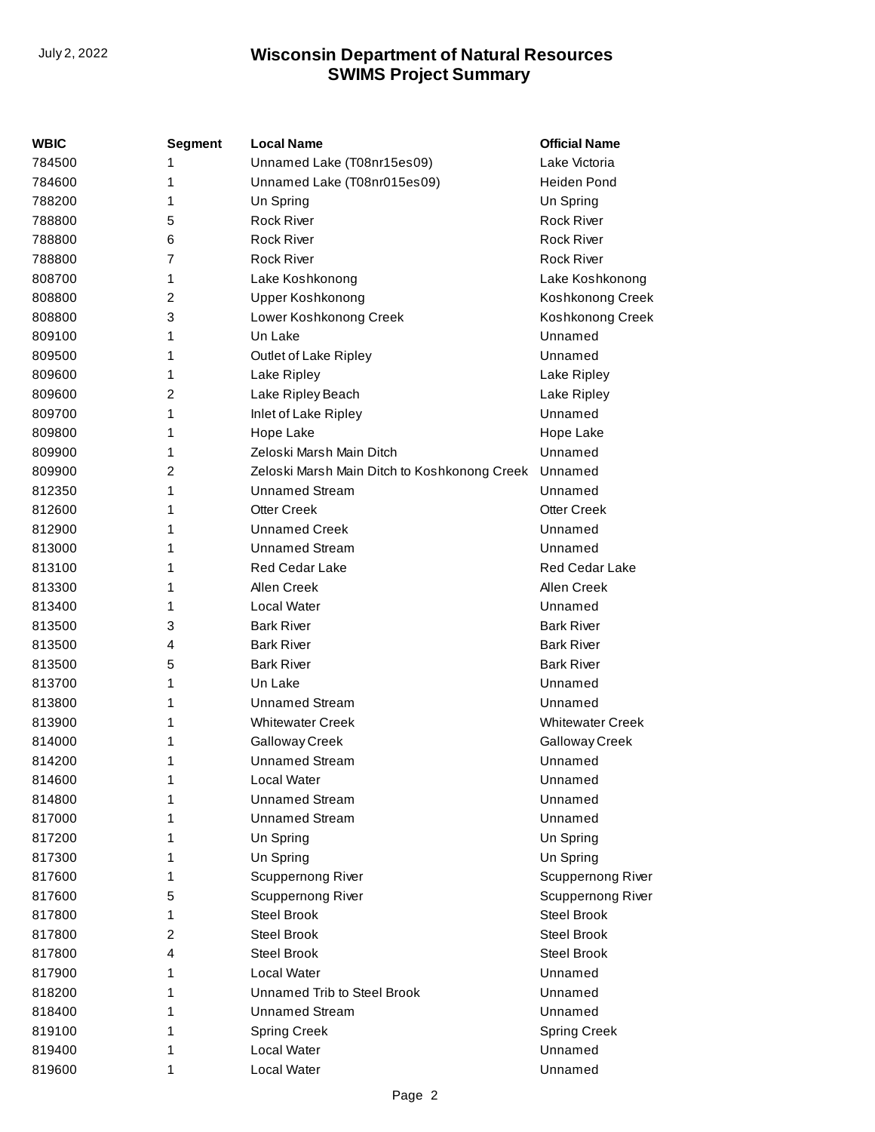| WBIC   | <b>Segment</b> | <b>Local Name</b>                            | <b>Official Name</b>    |
|--------|----------------|----------------------------------------------|-------------------------|
| 784500 | 1              | Unnamed Lake (T08nr15es09)                   | Lake Victoria           |
| 784600 | 1              | Unnamed Lake (T08nr015es09)                  | Heiden Pond             |
| 788200 | 1              | Un Spring                                    | Un Spring               |
| 788800 | 5              | <b>Rock River</b>                            | <b>Rock River</b>       |
| 788800 | 6              | <b>Rock River</b>                            | Rock River              |
| 788800 | 7              | <b>Rock River</b>                            | <b>Rock River</b>       |
| 808700 | 1              | Lake Koshkonong                              | Lake Koshkonong         |
| 808800 | 2              | Upper Koshkonong                             | Koshkonong Creek        |
| 808800 | 3              | Lower Koshkonong Creek                       | Koshkonong Creek        |
| 809100 | 1              | Un Lake                                      | Unnamed                 |
| 809500 | 1              | Outlet of Lake Ripley                        | Unnamed                 |
| 809600 | 1              | Lake Ripley                                  | Lake Ripley             |
| 809600 | 2              | Lake Ripley Beach                            | Lake Ripley             |
| 809700 | 1              | Inlet of Lake Ripley                         | Unnamed                 |
| 809800 | 1              | Hope Lake                                    | Hope Lake               |
| 809900 | 1              | Zeloski Marsh Main Ditch                     | Unnamed                 |
| 809900 | 2              | Zeloski Marsh Main Ditch to Koshkonong Creek | Unnamed                 |
| 812350 | 1              | Unnamed Stream                               | Unnamed                 |
| 812600 | 1              | <b>Otter Creek</b>                           | <b>Otter Creek</b>      |
| 812900 | 1              | <b>Unnamed Creek</b>                         | Unnamed                 |
| 813000 | 1              | <b>Unnamed Stream</b>                        | Unnamed                 |
| 813100 | 1              | <b>Red Cedar Lake</b>                        | <b>Red Cedar Lake</b>   |
| 813300 | 1              | Allen Creek                                  | Allen Creek             |
| 813400 | 1              | Local Water                                  | Unnamed                 |
| 813500 | 3              | <b>Bark River</b>                            | <b>Bark River</b>       |
| 813500 | 4              | <b>Bark River</b>                            | <b>Bark River</b>       |
| 813500 | 5              | <b>Bark River</b>                            | <b>Bark River</b>       |
| 813700 | 1              | Un Lake                                      | Unnamed                 |
| 813800 | 1              | <b>Unnamed Stream</b>                        | Unnamed                 |
| 813900 | 1              | <b>Whitewater Creek</b>                      | <b>Whitewater Creek</b> |
| 814000 | 1              | Galloway Creek                               | Galloway Creek          |
| 814200 | 1              | <b>Unnamed Stream</b>                        | Unnamed                 |
| 814600 | 1              | Local Water                                  | Unnamed                 |
| 814800 | 1              | <b>Unnamed Stream</b>                        | Unnamed                 |
| 817000 | 1              | <b>Unnamed Stream</b>                        | Unnamed                 |
| 817200 | 1              | Un Spring                                    | Un Spring               |
| 817300 | 1              | Un Spring                                    | Un Spring               |
| 817600 | 1              | Scuppernong River                            | Scuppernong River       |
| 817600 | 5              | Scuppernong River                            | Scuppernong River       |
| 817800 | 1              | <b>Steel Brook</b>                           | <b>Steel Brook</b>      |
| 817800 | 2              | Steel Brook                                  | Steel Brook             |
| 817800 | 4              | Steel Brook                                  | <b>Steel Brook</b>      |
| 817900 | 1              | Local Water                                  | Unnamed                 |
| 818200 | 1              | Unnamed Trib to Steel Brook                  | Unnamed                 |
| 818400 | 1              | <b>Unnamed Stream</b>                        | Unnamed                 |
| 819100 | 1              | <b>Spring Creek</b>                          | <b>Spring Creek</b>     |
| 819400 | 1              | Local Water                                  | Unnamed                 |
| 819600 | 1              | Local Water                                  | Unnamed                 |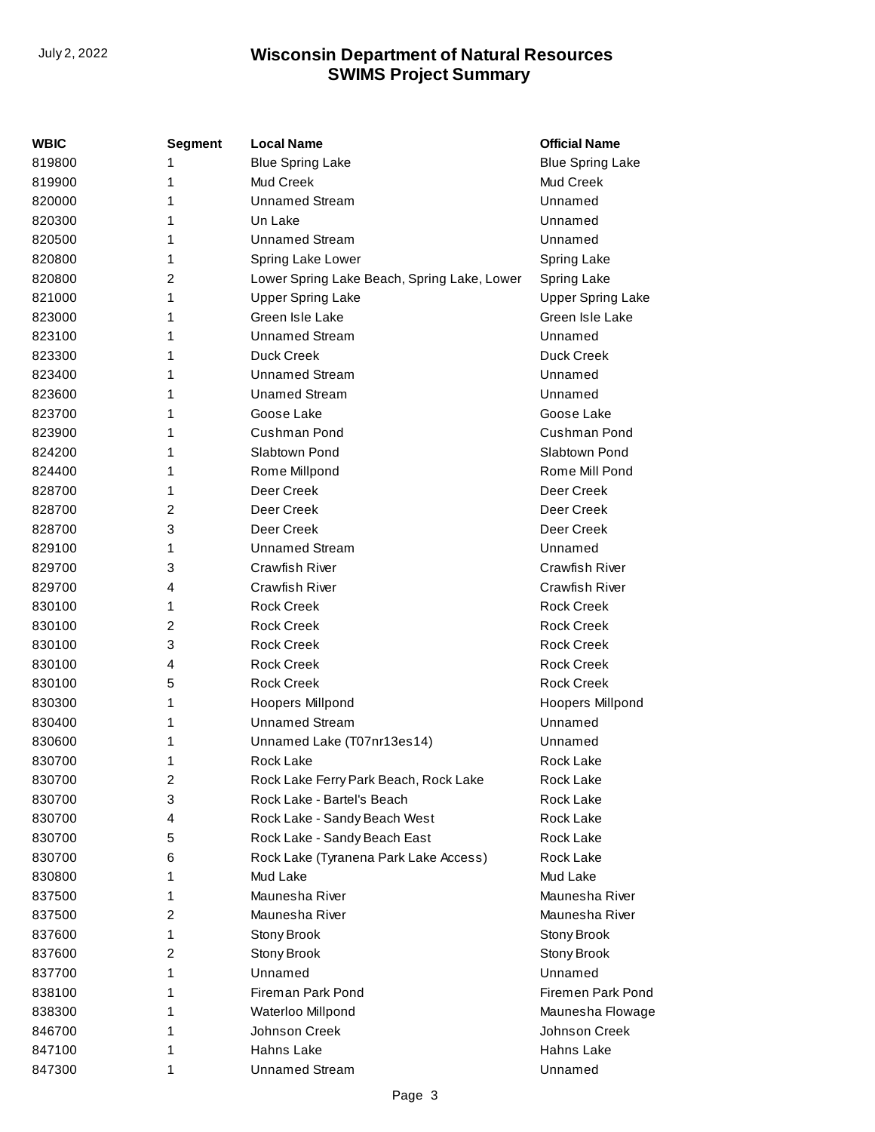| WBIC   | <b>Segment</b> | <b>Local Name</b>                           | <b>Official Name</b>     |
|--------|----------------|---------------------------------------------|--------------------------|
| 819800 | 1              | <b>Blue Spring Lake</b>                     | <b>Blue Spring Lake</b>  |
| 819900 | 1              | Mud Creek                                   | Mud Creek                |
| 820000 | 1              | Unnamed Stream                              | Unnamed                  |
| 820300 | 1              | Un Lake                                     | Unnamed                  |
| 820500 | 1              | <b>Unnamed Stream</b>                       | Unnamed                  |
| 820800 | 1              | Spring Lake Lower                           | Spring Lake              |
| 820800 | 2              | Lower Spring Lake Beach, Spring Lake, Lower | Spring Lake              |
| 821000 | 1              | <b>Upper Spring Lake</b>                    | <b>Upper Spring Lake</b> |
| 823000 | 1              | Green Isle Lake                             | Green Isle Lake          |
| 823100 | 1              | <b>Unnamed Stream</b>                       | Unnamed                  |
| 823300 | 1              | Duck Creek                                  | Duck Creek               |
| 823400 | 1              | <b>Unnamed Stream</b>                       | Unnamed                  |
| 823600 | 1              | <b>Unamed Stream</b>                        | Unnamed                  |
| 823700 | 1              | Goose Lake                                  | Goose Lake               |
| 823900 | 1              | Cushman Pond                                | Cushman Pond             |
| 824200 | 1              | Slabtown Pond                               | Slabtown Pond            |
| 824400 | 1              | Rome Millpond                               | Rome Mill Pond           |
| 828700 | 1              | Deer Creek                                  | Deer Creek               |
| 828700 | 2              | Deer Creek                                  | Deer Creek               |
| 828700 | 3              | Deer Creek                                  | Deer Creek               |
| 829100 | 1              | <b>Unnamed Stream</b>                       | Unnamed                  |
| 829700 | 3              | Crawfish River                              | Crawfish River           |
| 829700 | 4              | Crawfish River                              | <b>Crawfish River</b>    |
| 830100 | 1              | <b>Rock Creek</b>                           | <b>Rock Creek</b>        |
| 830100 | 2              | <b>Rock Creek</b>                           | <b>Rock Creek</b>        |
| 830100 | 3              | <b>Rock Creek</b>                           | <b>Rock Creek</b>        |
| 830100 | 4              | <b>Rock Creek</b>                           | <b>Rock Creek</b>        |
| 830100 | 5              | <b>Rock Creek</b>                           | <b>Rock Creek</b>        |
| 830300 | 1              | <b>Hoopers Millpond</b>                     | Hoopers Millpond         |
| 830400 | 1              | <b>Unnamed Stream</b>                       | Unnamed                  |
| 830600 | 1              | Unnamed Lake (T07nr13es14)                  | Unnamed                  |
| 830700 | 1              | <b>Rock Lake</b>                            | Rock Lake                |
| 830700 | 2              | Rock Lake Ferry Park Beach, Rock Lake       | Rock Lake                |
| 830700 | 3              | Rock Lake - Bartel's Beach                  | Rock Lake                |
| 830700 | 4              | Rock Lake - Sandy Beach West                | Rock Lake                |
| 830700 | 5              | Rock Lake - Sandy Beach East                | Rock Lake                |
| 830700 | 6              | Rock Lake (Tyranena Park Lake Access)       | Rock Lake                |
| 830800 | 1              | Mud Lake                                    | Mud Lake                 |
| 837500 | 1              | Maunesha River                              | Maunesha River           |
| 837500 | 2              | Maunesha River                              | Maunesha River           |
| 837600 | 1              | Stony Brook                                 | Stony Brook              |
| 837600 | 2              | Stony Brook                                 | Stony Brook              |
| 837700 | 1              | Unnamed                                     | Unnamed                  |
| 838100 | 1              | <b>Fireman Park Pond</b>                    | Firemen Park Pond        |
| 838300 | 1              | Waterloo Millpond                           | Maunesha Flowage         |
| 846700 | 1              | Johnson Creek                               | Johnson Creek            |
| 847100 | 1              | Hahns Lake                                  | Hahns Lake               |
| 847300 | 1              | <b>Unnamed Stream</b>                       | Unnamed                  |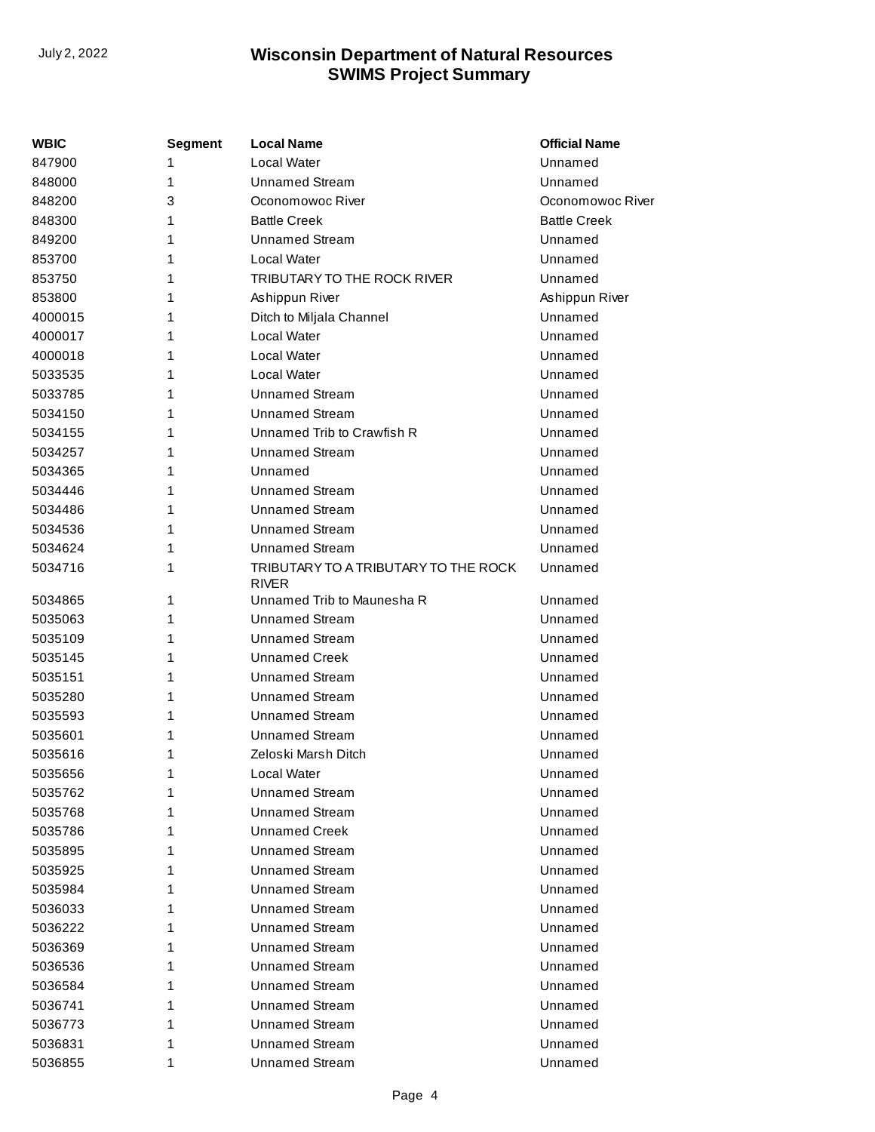| WBIC    | Segment | <b>Local Name</b>                                    | <b>Official Name</b> |
|---------|---------|------------------------------------------------------|----------------------|
| 847900  | 1       | Local Water                                          | Unnamed              |
| 848000  | 1       | <b>Unnamed Stream</b>                                | Unnamed              |
| 848200  | 3       | Oconomowoc River                                     | Oconomowoc River     |
| 848300  | 1       | <b>Battle Creek</b>                                  | <b>Battle Creek</b>  |
| 849200  | 1       | <b>Unnamed Stream</b>                                | Unnamed              |
| 853700  | 1       | <b>Local Water</b>                                   | Unnamed              |
| 853750  | 1       | TRIBUTARY TO THE ROCK RIVER                          | Unnamed              |
| 853800  | 1       | Ashippun River                                       | Ashippun River       |
| 4000015 | 1       | Ditch to Miljala Channel                             | Unnamed              |
| 4000017 | 1       | Local Water                                          | Unnamed              |
| 4000018 | 1       | Local Water                                          | Unnamed              |
| 5033535 | 1       | Local Water                                          | Unnamed              |
| 5033785 | 1       | <b>Unnamed Stream</b>                                | Unnamed              |
| 5034150 | 1       | <b>Unnamed Stream</b>                                | Unnamed              |
| 5034155 | 1       | Unnamed Trib to Crawfish R                           | Unnamed              |
| 5034257 | 1       | <b>Unnamed Stream</b>                                | Unnamed              |
| 5034365 | 1       | Unnamed                                              | Unnamed              |
| 5034446 | 1       | <b>Unnamed Stream</b>                                | Unnamed              |
| 5034486 | 1       | <b>Unnamed Stream</b>                                | Unnamed              |
| 5034536 | 1       | <b>Unnamed Stream</b>                                | Unnamed              |
| 5034624 | 1       | <b>Unnamed Stream</b>                                | Unnamed              |
| 5034716 | 1       | TRIBUTARY TO A TRIBUTARY TO THE ROCK<br><b>RIVER</b> | Unnamed              |
| 5034865 | 1       | Unnamed Trib to Maunesha R                           | Unnamed              |
| 5035063 | 1       | <b>Unnamed Stream</b>                                | Unnamed              |
| 5035109 | 1       | <b>Unnamed Stream</b>                                | Unnamed              |
| 5035145 | 1       | <b>Unnamed Creek</b>                                 | Unnamed              |
| 5035151 | 1       | <b>Unnamed Stream</b>                                | Unnamed              |
| 5035280 | 1       | <b>Unnamed Stream</b>                                | Unnamed              |
| 5035593 | 1       | <b>Unnamed Stream</b>                                | Unnamed              |
| 5035601 | 1       | <b>Unnamed Stream</b>                                | Unnamed              |
| 5035616 | 1       | Zeloski Marsh Ditch                                  | Unnamed              |
| 5035656 | 1       | Local Water                                          | Unnamed              |
| 5035762 | 1       | <b>Unnamed Stream</b>                                | Unnamed              |
| 5035768 | 1       | <b>Unnamed Stream</b>                                | Unnamed              |
| 5035786 | 1       | Unnamed Creek                                        | Unnamed              |
| 5035895 | 1       | <b>Unnamed Stream</b>                                | Unnamed              |
| 5035925 | 1       | <b>Unnamed Stream</b>                                | Unnamed              |
| 5035984 | 1       | <b>Unnamed Stream</b>                                | Unnamed              |
| 5036033 | 1       | <b>Unnamed Stream</b>                                | Unnamed              |
| 5036222 | 1       | <b>Unnamed Stream</b>                                | Unnamed              |
| 5036369 | 1       | <b>Unnamed Stream</b>                                | Unnamed              |
| 5036536 | 1       | <b>Unnamed Stream</b>                                | Unnamed              |
| 5036584 | 1       | <b>Unnamed Stream</b>                                | Unnamed              |
| 5036741 | 1       | <b>Unnamed Stream</b>                                | Unnamed              |
| 5036773 | 1       | <b>Unnamed Stream</b>                                | Unnamed              |
| 5036831 | 1       | <b>Unnamed Stream</b>                                | Unnamed              |
| 5036855 | 1       | <b>Unnamed Stream</b>                                | Unnamed              |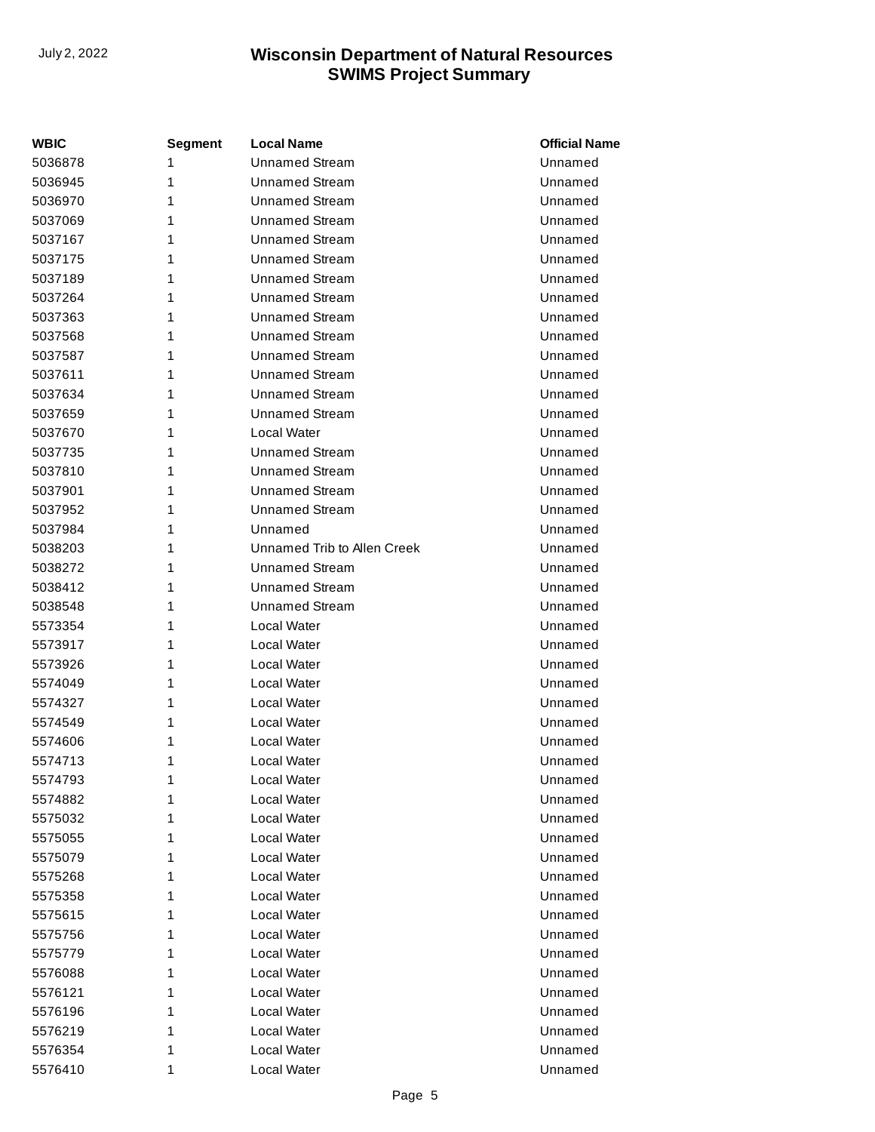| <b>WBIC</b> | <b>Segment</b> | <b>Local Name</b>           | <b>Official Name</b> |
|-------------|----------------|-----------------------------|----------------------|
| 5036878     | 1              | <b>Unnamed Stream</b>       | Unnamed              |
| 5036945     | 1              | <b>Unnamed Stream</b>       | Unnamed              |
| 5036970     | 1              | <b>Unnamed Stream</b>       | Unnamed              |
| 5037069     | 1              | Unnamed Stream              | Unnamed              |
| 5037167     | 1              | <b>Unnamed Stream</b>       | Unnamed              |
| 5037175     | 1              | <b>Unnamed Stream</b>       | Unnamed              |
| 5037189     | 1              | <b>Unnamed Stream</b>       | Unnamed              |
| 5037264     | 1              | Unnamed Stream              | Unnamed              |
| 5037363     | 1              | Unnamed Stream              | Unnamed              |
| 5037568     | 1              | <b>Unnamed Stream</b>       | Unnamed              |
| 5037587     | 1              | <b>Unnamed Stream</b>       | Unnamed              |
| 5037611     | 1              | Unnamed Stream              | Unnamed              |
| 5037634     | 1              | <b>Unnamed Stream</b>       | Unnamed              |
| 5037659     | 1              | <b>Unnamed Stream</b>       | Unnamed              |
| 5037670     | 1              | Local Water                 | Unnamed              |
| 5037735     | 1              | Unnamed Stream              | Unnamed              |
| 5037810     | 1              | <b>Unnamed Stream</b>       | Unnamed              |
| 5037901     | 1              | <b>Unnamed Stream</b>       | Unnamed              |
| 5037952     | 1              | <b>Unnamed Stream</b>       | Unnamed              |
| 5037984     | 1              | Unnamed                     | Unnamed              |
| 5038203     | 1              | Unnamed Trib to Allen Creek | Unnamed              |
| 5038272     | 1              | <b>Unnamed Stream</b>       | Unnamed              |
| 5038412     | 1              | <b>Unnamed Stream</b>       | Unnamed              |
| 5038548     | 1              | Unnamed Stream              | Unnamed              |
| 5573354     | 1              | Local Water                 | Unnamed              |
| 5573917     | 1              | Local Water                 | Unnamed              |
| 5573926     | 1              | Local Water                 | Unnamed              |
| 5574049     | 1              | Local Water                 | Unnamed              |
| 5574327     | 1              | Local Water                 | Unnamed              |
| 5574549     | 1              | Local Water                 | Unnamed              |
| 5574606     | 1              | Local Water                 | Unnamed              |
| 5574713     | 1              | Local Water                 | Unnamed              |
| 5574793     | 1              | Local Water                 | Unnamed              |
| 5574882     | 1              | Local Water                 | Unnamed              |
| 5575032     | 1              | Local Water                 | Unnamed              |
| 5575055     | 1              | Local Water                 | Unnamed              |
| 5575079     | 1              | Local Water                 | Unnamed              |
| 5575268     | 1              | Local Water                 | Unnamed              |
| 5575358     | 1              | Local Water                 | Unnamed              |
| 5575615     | 1              | Local Water                 | Unnamed              |
| 5575756     | 1              | Local Water                 | Unnamed              |
| 5575779     | 1              | Local Water                 | Unnamed              |
| 5576088     | 1              | Local Water                 | Unnamed              |
| 5576121     | 1              | Local Water                 | Unnamed              |
| 5576196     | 1              | Local Water                 | Unnamed              |
| 5576219     | 1              | Local Water                 | Unnamed              |
| 5576354     | 1              | Local Water                 | Unnamed              |
| 5576410     | 1              | Local Water                 | Unnamed              |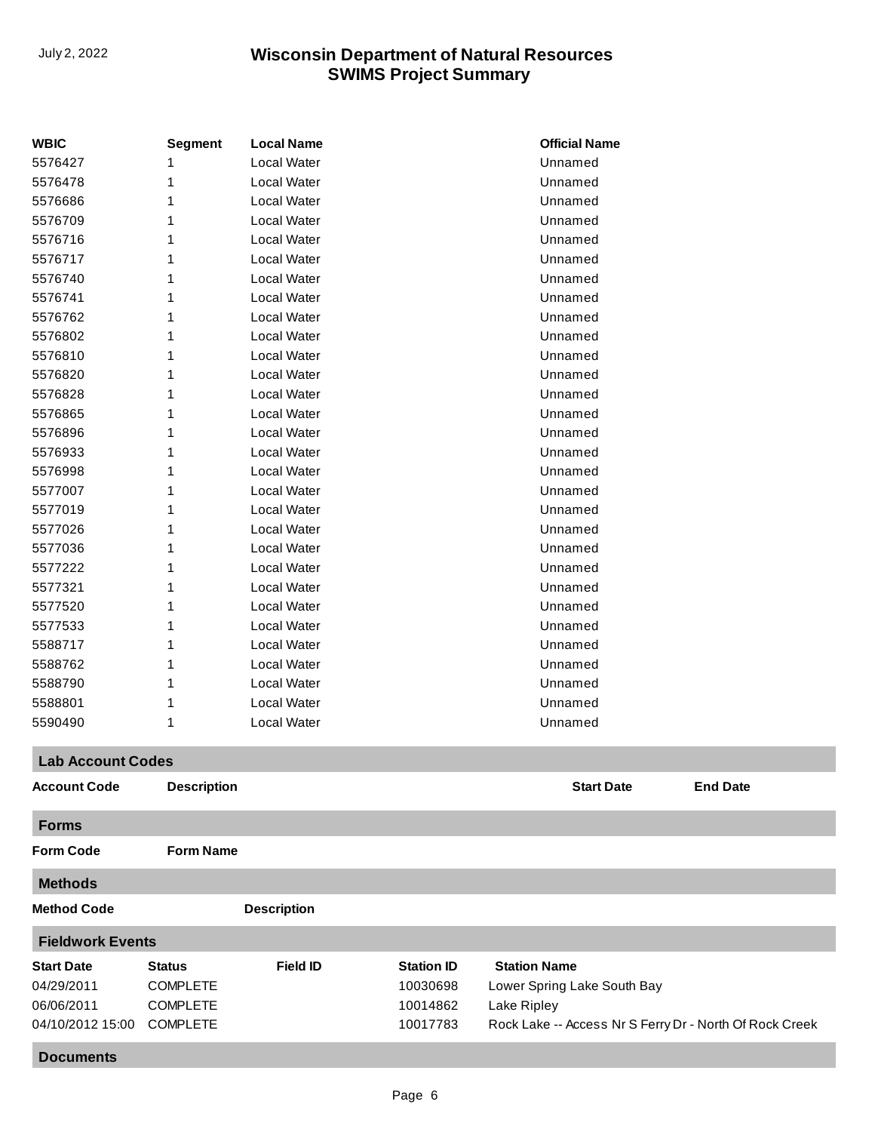| <b>WBIC</b>              | <b>Segment</b>     | <b>Local Name</b>  |                   | <b>Official Name</b>        |                                                         |
|--------------------------|--------------------|--------------------|-------------------|-----------------------------|---------------------------------------------------------|
| 5576427                  | 1                  | Local Water        |                   | Unnamed                     |                                                         |
| 5576478                  | 1                  | Local Water        |                   | Unnamed                     |                                                         |
| 5576686                  | 1                  | Local Water        |                   | Unnamed                     |                                                         |
| 5576709                  | 1                  | Local Water        |                   | Unnamed                     |                                                         |
| 5576716                  | 1                  | Local Water        |                   | Unnamed                     |                                                         |
| 5576717                  | 1                  | Local Water        |                   | Unnamed                     |                                                         |
| 5576740                  | 1                  | Local Water        |                   | Unnamed                     |                                                         |
| 5576741                  | 1                  | Local Water        |                   | Unnamed                     |                                                         |
| 5576762                  | 1                  | <b>Local Water</b> |                   | Unnamed                     |                                                         |
| 5576802                  | 1                  | Local Water        |                   | Unnamed                     |                                                         |
| 5576810                  | 1                  | Local Water        |                   | Unnamed                     |                                                         |
| 5576820                  | 1                  | Local Water        |                   | Unnamed                     |                                                         |
| 5576828                  | 1                  | Local Water        |                   | Unnamed                     |                                                         |
| 5576865                  | 1                  | Local Water        |                   | Unnamed                     |                                                         |
| 5576896                  | 1                  | Local Water        |                   | Unnamed                     |                                                         |
| 5576933                  | 1                  | Local Water        |                   | Unnamed                     |                                                         |
| 5576998                  | 1                  | Local Water        |                   | Unnamed                     |                                                         |
| 5577007                  | 1                  | Local Water        |                   | Unnamed                     |                                                         |
| 5577019                  |                    | Local Water        |                   |                             |                                                         |
|                          | 1                  | Local Water        |                   | Unnamed<br>Unnamed          |                                                         |
| 5577026                  | 1                  |                    |                   |                             |                                                         |
| 5577036                  | 1                  | Local Water        |                   | Unnamed                     |                                                         |
| 5577222                  | 1                  | Local Water        |                   | Unnamed                     |                                                         |
| 5577321                  | 1                  | Local Water        |                   | Unnamed                     |                                                         |
| 5577520                  | 1                  | Local Water        |                   | Unnamed                     |                                                         |
| 5577533                  | 1                  | Local Water        |                   | Unnamed                     |                                                         |
| 5588717                  | 1                  | Local Water        |                   | Unnamed                     |                                                         |
| 5588762                  | 1                  | Local Water        |                   | Unnamed                     |                                                         |
| 5588790                  | 1                  | Local Water        |                   | Unnamed                     |                                                         |
| 5588801                  | 1                  | Local Water        |                   | Unnamed                     |                                                         |
| 5590490                  | 1                  | Local Water        |                   | Unnamed                     |                                                         |
| <b>Lab Account Codes</b> |                    |                    |                   |                             |                                                         |
| <b>Account Code</b>      | <b>Description</b> |                    |                   | <b>Start Date</b>           | <b>End Date</b>                                         |
| <b>Forms</b>             |                    |                    |                   |                             |                                                         |
| <b>Form Code</b>         | <b>Form Name</b>   |                    |                   |                             |                                                         |
| <b>Methods</b>           |                    |                    |                   |                             |                                                         |
| <b>Method Code</b>       |                    | <b>Description</b> |                   |                             |                                                         |
| <b>Fieldwork Events</b>  |                    |                    |                   |                             |                                                         |
| <b>Start Date</b>        | <b>Status</b>      | <b>Field ID</b>    | <b>Station ID</b> | <b>Station Name</b>         |                                                         |
| 04/29/2011               | <b>COMPLETE</b>    |                    | 10030698          | Lower Spring Lake South Bay |                                                         |
| 06/06/2011               | <b>COMPLETE</b>    |                    | 10014862          | Lake Ripley                 |                                                         |
| 04/10/2012 15:00         | <b>COMPLETE</b>    |                    | 10017783          |                             | Rock Lake -- Access Nr S Ferry Dr - North Of Rock Creek |
| <b>Documents</b>         |                    |                    |                   |                             |                                                         |